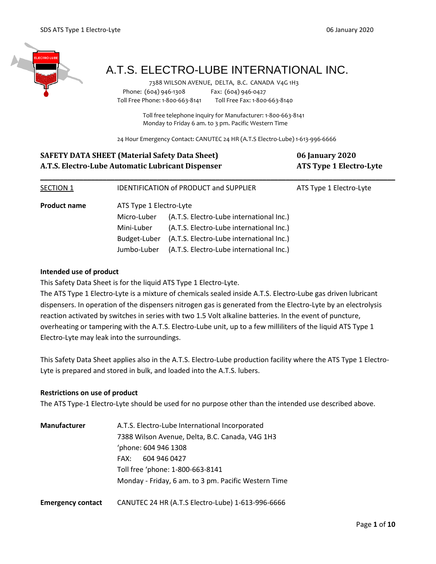

# A.T.S. ELECTRO-LUBE INTERNATIONAL INC.

 7388 WILSON AVENUE, DELTA, B.C. CANADA V4G 1H3 Phone: (604) 946-1308 Fax: (604) 946-0427 Toll Free Phone: 1-800-663-8141 Toll Free Fax: 1-800-663-8140

> Toll free telephone inquiry for Manufacturer: 1-800-663-8141 Monday to Friday 6 am. to 3 pm. Pacific Western Time

24 Hour Emergency Contact: CANUTEC 24 HR (A.T.S Electro-Lube) 1-613-996-6666

| <b>SAFETY DATA SHEET (Material Safety Data Sheet)</b><br>A.T.S. Electro-Lube Automatic Lubricant Dispenser |                         |                                               | <b>06 January 2020</b><br><b>ATS Type 1 Electro-Lyte</b> |
|------------------------------------------------------------------------------------------------------------|-------------------------|-----------------------------------------------|----------------------------------------------------------|
| SECTION 1                                                                                                  |                         | <b>IDENTIFICATION of PRODUCT and SUPPLIER</b> | ATS Type 1 Electro-Lyte                                  |
| <b>Product name</b>                                                                                        | ATS Type 1 Electro-Lyte |                                               |                                                          |
|                                                                                                            | Micro-Luber             | (A.T.S. Electro-Lube international Inc.)      |                                                          |
|                                                                                                            | Mini-Luber              | (A.T.S. Electro-Lube international Inc.)      |                                                          |
|                                                                                                            | Budget-Luber            | (A.T.S. Electro-Lube international Inc.)      |                                                          |
|                                                                                                            | Jumbo-Luber             | (A.T.S. Electro-Lube international Inc.)      |                                                          |

### **Intended use of product**

This Safety Data Sheet is for the liquid ATS Type 1 Electro-Lyte.

The ATS Type 1 Electro-Lyte is a mixture of chemicals sealed inside A.T.S. Electro-Lube gas driven lubricant dispensers. In operation of the dispensers nitrogen gas is generated from the Electro-Lyte by an electrolysis reaction activated by switches in series with two 1.5 Volt alkaline batteries. In the event of puncture, overheating or tampering with the A.T.S. Electro-Lube unit, up to a few milliliters of the liquid ATS Type 1 Electro-Lyte may leak into the surroundings.

This Safety Data Sheet applies also in the A.T.S. Electro-Lube production facility where the ATS Type 1 Electro-Lyte is prepared and stored in bulk, and loaded into the A.T.S. lubers.

### **Restrictions on use of product**

The ATS Type-1 Electro-Lyte should be used for no purpose other than the intended use described above.

| <b>Manufacturer</b>      | A.T.S. Electro-Lube International Incorporated       |  |  |
|--------------------------|------------------------------------------------------|--|--|
|                          | 7388 Wilson Avenue, Delta, B.C. Canada, V4G 1H3      |  |  |
|                          | phone: 604 946 1308                                  |  |  |
|                          | 604 946 0427<br>FAX:                                 |  |  |
|                          | Toll free 'phone: 1-800-663-8141                     |  |  |
|                          | Monday - Friday, 6 am. to 3 pm. Pacific Western Time |  |  |
| <b>Emergency contact</b> | CANUTEC 24 HR (A.T.S Electro-Lube) 1-613-996-6666    |  |  |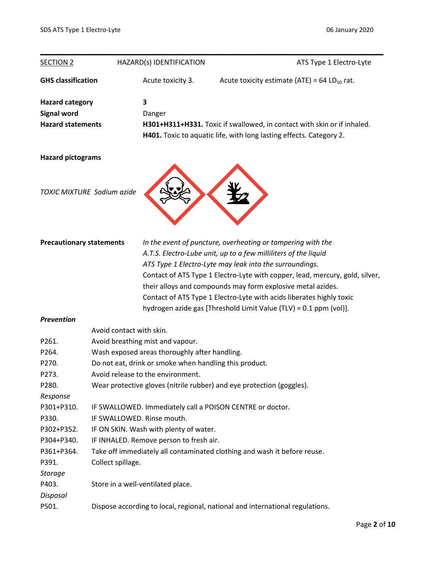| <b>SECTION 2</b>                |                                                                               | HAZARD(s) IDENTIFICATION                                                | ATS Type 1 Electro-Lyte                                                      |  |
|---------------------------------|-------------------------------------------------------------------------------|-------------------------------------------------------------------------|------------------------------------------------------------------------------|--|
| <b>GHS classification</b>       |                                                                               | Acute toxicity 3.                                                       | Acute toxicity estimate (ATE) = 64 LD $_{50}$ rat.                           |  |
| <b>Hazard category</b>          |                                                                               | 3                                                                       |                                                                              |  |
| <b>Signal word</b>              |                                                                               | Danger                                                                  |                                                                              |  |
| <b>Hazard statements</b>        |                                                                               | H301+H311+H331. Toxic if swallowed, in contact with skin or if inhaled. |                                                                              |  |
|                                 |                                                                               |                                                                         | H401. Toxic to aquatic life, with long lasting effects. Category 2.          |  |
| <b>Hazard pictograms</b>        |                                                                               |                                                                         |                                                                              |  |
|                                 |                                                                               |                                                                         |                                                                              |  |
|                                 | TOXIC MIXTURE Sodium azide                                                    |                                                                         |                                                                              |  |
|                                 |                                                                               |                                                                         |                                                                              |  |
|                                 |                                                                               |                                                                         |                                                                              |  |
| <b>Precautionary statements</b> |                                                                               |                                                                         | In the event of puncture, overheating or tampering with the                  |  |
|                                 |                                                                               |                                                                         | A.T.S. Electro-Lube unit, up to a few milliliters of the liquid              |  |
|                                 |                                                                               |                                                                         | ATS Type 1 Electro-Lyte may leak into the surroundings.                      |  |
|                                 |                                                                               |                                                                         | Contact of ATS Type 1 Electro-Lyte with copper, lead, mercury, gold, silver, |  |
|                                 |                                                                               |                                                                         | their alloys and compounds may form explosive metal azides.                  |  |
|                                 |                                                                               |                                                                         | Contact of ATS Type 1 Electro-Lyte with acids liberates highly toxic         |  |
|                                 |                                                                               |                                                                         | hydrogen azide gas [Threshold Limit Value (TLV) = 0.1 ppm (vol)].            |  |
| <b>Prevention</b>               |                                                                               |                                                                         |                                                                              |  |
|                                 | Avoid contact with skin.                                                      |                                                                         |                                                                              |  |
| P261.                           |                                                                               | Avoid breathing mist and vapour.                                        |                                                                              |  |
| P264.                           |                                                                               | Wash exposed areas thoroughly after handling.                           |                                                                              |  |
| P270.                           | Do not eat, drink or smoke when handling this product.                        |                                                                         |                                                                              |  |
| P273.                           | Avoid release to the environment.                                             |                                                                         |                                                                              |  |
| P280.                           | Wear protective gloves (nitrile rubber) and eye protection (goggles).         |                                                                         |                                                                              |  |
| Response                        |                                                                               |                                                                         |                                                                              |  |
| P301+P310.                      |                                                                               |                                                                         | IF SWALLOWED. Immediately call a POISON CENTRE or doctor.                    |  |
| P330.                           | IF SWALLOWED. Rinse mouth.                                                    |                                                                         |                                                                              |  |
| P302+P352.                      | IF ON SKIN. Wash with plenty of water.                                        |                                                                         |                                                                              |  |
| P304+P340.                      | IF INHALED. Remove person to fresh air.                                       |                                                                         |                                                                              |  |
| P361+P364.                      | Take off immediately all contaminated clothing and wash it before reuse.      |                                                                         |                                                                              |  |
| P391.                           | Collect spillage.                                                             |                                                                         |                                                                              |  |
| <b>Storage</b>                  |                                                                               |                                                                         |                                                                              |  |
| P403.                           |                                                                               | Store in a well-ventilated place.                                       |                                                                              |  |
| Disposal                        |                                                                               |                                                                         |                                                                              |  |
| P501.                           | Dispose according to local, regional, national and international regulations. |                                                                         |                                                                              |  |
|                                 |                                                                               |                                                                         |                                                                              |  |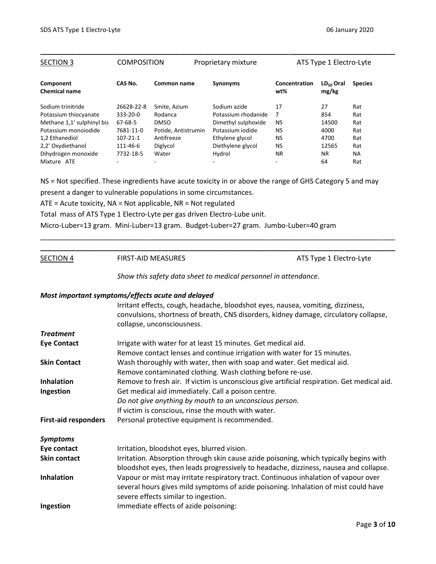| ATS Type 1 Electro-Lyte                                    |
|------------------------------------------------------------|
|                                                            |
| Concentration<br>$LD_{50}$ Oral<br><b>Species</b><br>mg/kg |
| 27<br>Rat                                                  |
| 854<br>Rat                                                 |
| 14500<br>Rat                                               |
| 4000<br>Rat                                                |
| Rat<br>4700                                                |
| 12565<br>Rat                                               |
| <b>NA</b><br><b>NR</b>                                     |
| 64<br>Rat                                                  |
|                                                            |

NS = Not specified. These ingredients have acute toxicity in or above the range of GHS Category 5 and may present a danger to vulnerable populations in some circumstances.

ATE = Acute toxicity, NA = Not applicable, NR = Not regulated

Total mass of ATS Type 1 Electro-Lyte per gas driven Electro-Lube unit.

Micro-Luber=13 gram. Mini-Luber=13 gram. Budget-Luber=27 gram. Jumbo-Luber=40 gram

SECTION 4 FIRST-AID MEASURES **ATS Type 1 Electro-Lyte** 

*Show this safety data sheet to medical personnel in attendance.*

\_\_\_\_\_\_\_\_\_\_\_\_\_\_\_\_\_\_\_\_\_\_\_\_\_\_\_\_\_\_\_\_\_\_\_\_\_\_\_\_\_\_\_\_\_\_\_\_\_\_\_\_\_\_\_\_\_\_\_\_\_\_\_\_\_\_\_\_\_\_\_\_\_\_\_\_\_\_\_\_\_\_\_\_\_\_\_\_\_\_\_ **\_\_\_\_\_\_\_\_\_\_\_\_\_\_\_\_\_\_\_\_\_\_\_\_\_\_\_\_\_\_\_\_\_\_\_\_\_\_\_\_\_\_\_\_\_\_\_\_\_\_\_\_\_\_\_\_\_\_\_\_\_\_\_\_\_\_\_\_\_\_\_\_\_\_\_\_\_\_\_\_\_\_\_\_\_\_\_\_\_\_\_**

### *Most important symptoms/effects acute and delayed*

|                             | Irritant effects, cough, headache, bloodshot eyes, nausea, vomiting, dizziness,<br>convulsions, shortness of breath, CNS disorders, kidney damage, circulatory collapse,<br>collapse, unconsciousness. |
|-----------------------------|--------------------------------------------------------------------------------------------------------------------------------------------------------------------------------------------------------|
| <b>Treatment</b>            |                                                                                                                                                                                                        |
| <b>Eye Contact</b>          | Irrigate with water for at least 15 minutes. Get medical aid.                                                                                                                                          |
|                             | Remove contact lenses and continue irrigation with water for 15 minutes.                                                                                                                               |
| <b>Skin Contact</b>         | Wash thoroughly with water, then with soap and water. Get medical aid.                                                                                                                                 |
|                             | Remove contaminated clothing. Wash clothing before re-use.                                                                                                                                             |
| <b>Inhalation</b>           | Remove to fresh air. If victim is unconscious give artificial respiration. Get medical aid.                                                                                                            |
| Ingestion                   | Get medical aid immediately. Call a poison centre.                                                                                                                                                     |
|                             | Do not give anything by mouth to an unconscious person.                                                                                                                                                |
|                             | If victim is conscious, rinse the mouth with water.                                                                                                                                                    |
| <b>First-aid responders</b> | Personal protective equipment is recommended.                                                                                                                                                          |
| <b>Symptoms</b>             |                                                                                                                                                                                                        |
| Eye contact                 | Irritation, bloodshot eyes, blurred vision.                                                                                                                                                            |
| <b>Skin contact</b>         | Irritation. Absorption through skin cause azide poisoning, which typically begins with                                                                                                                 |
|                             | bloodshot eyes, then leads progressively to headache, dizziness, nausea and collapse.                                                                                                                  |
| <b>Inhalation</b>           | Vapour or mist may irritate respiratory tract. Continuous inhalation of vapour over                                                                                                                    |
|                             | several hours gives mild symptoms of azide poisoning. Inhalation of mist could have                                                                                                                    |
|                             | severe effects similar to ingestion.                                                                                                                                                                   |
| Ingestion                   | Immediate effects of azide poisoning:                                                                                                                                                                  |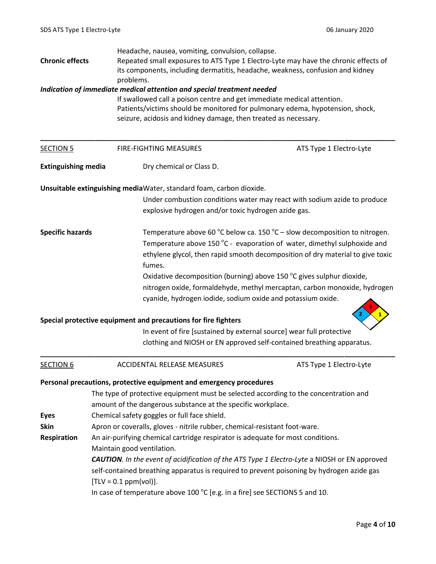|                                                                                                               | Headache, nausea, vomiting, convulsion, collapse.                                                   |                                                                                |
|---------------------------------------------------------------------------------------------------------------|-----------------------------------------------------------------------------------------------------|--------------------------------------------------------------------------------|
| Repeated small exposures to ATS Type 1 Electro-Lyte may have the chronic effects of<br><b>Chronic effects</b> |                                                                                                     |                                                                                |
|                                                                                                               |                                                                                                     | its components, including dermatitis, headache, weakness, confusion and kidney |
|                                                                                                               | problems.                                                                                           |                                                                                |
|                                                                                                               | Indication of immediate medical attention and special treatment needed                              |                                                                                |
|                                                                                                               | If swallowed call a poison centre and get immediate medical attention.                              |                                                                                |
| Patients/victims should be monitored for pulmonary edema, hypotension, shock,                                 |                                                                                                     |                                                                                |
|                                                                                                               | seizure, acidosis and kidney damage, then treated as necessary.                                     |                                                                                |
|                                                                                                               |                                                                                                     |                                                                                |
| <b>SECTION 5</b>                                                                                              | FIRE-FIGHTING MEASURES                                                                              | ATS Type 1 Electro-Lyte                                                        |
| <b>Extinguishing media</b>                                                                                    | Dry chemical or Class D.                                                                            |                                                                                |
|                                                                                                               | Unsuitable extinguishing mediaWater, standard foam, carbon dioxide.                                 |                                                                                |
|                                                                                                               |                                                                                                     | Under combustion conditions water may react with sodium azide to produce       |
|                                                                                                               | explosive hydrogen and/or toxic hydrogen azide gas.                                                 |                                                                                |
|                                                                                                               |                                                                                                     |                                                                                |
| <b>Specific hazards</b>                                                                                       |                                                                                                     | Temperature above 60 °C below ca. 150 °C – slow decomposition to nitrogen.     |
|                                                                                                               |                                                                                                     | Temperature above 150 °C - evaporation of water, dimethyl sulphoxide and       |
|                                                                                                               |                                                                                                     | ethylene glycol, then rapid smooth decomposition of dry material to give toxic |
|                                                                                                               | fumes.                                                                                              |                                                                                |
|                                                                                                               |                                                                                                     | Oxidative decomposition (burning) above 150 °C gives sulphur dioxide,          |
|                                                                                                               |                                                                                                     | nitrogen oxide, formaldehyde, methyl mercaptan, carbon monoxide, hydrogen      |
|                                                                                                               | cyanide, hydrogen iodide, sodium oxide and potassium oxide.                                         |                                                                                |
|                                                                                                               |                                                                                                     |                                                                                |
|                                                                                                               | Special protective equipment and precautions for fire fighters                                      |                                                                                |
|                                                                                                               |                                                                                                     | In event of fire [sustained by external source] wear full protective           |
|                                                                                                               |                                                                                                     | clothing and NIOSH or EN approved self-contained breathing apparatus.          |
|                                                                                                               |                                                                                                     |                                                                                |
| <b>SECTION 6</b>                                                                                              | ACCIDENTAL RELEASE MEASURES                                                                         | ATS Type 1 Electro-Lyte                                                        |
|                                                                                                               | Personal precautions, protective equipment and emergency procedures                                 |                                                                                |
|                                                                                                               | The type of protective equipment must be selected according to the concentration and                |                                                                                |
|                                                                                                               | amount of the dangerous substance at the specific workplace.                                        |                                                                                |
| <b>Eyes</b>                                                                                                   | Chemical safety goggles or full face shield.                                                        |                                                                                |
| <b>Skin</b>                                                                                                   | Apron or coveralls, gloves - nitrile rubber, chemical-resistant foot-ware.                          |                                                                                |
| Respiration                                                                                                   | An air-purifying chemical cartridge respirator is adequate for most conditions.                     |                                                                                |
|                                                                                                               | Maintain good ventilation.                                                                          |                                                                                |
|                                                                                                               | <b>CAUTION.</b> In the event of acidification of the ATS Type 1 Electro-Lyte a NIOSH or EN approved |                                                                                |
|                                                                                                               | self-contained breathing apparatus is required to prevent poisoning by hydrogen azide gas           |                                                                                |
|                                                                                                               |                                                                                                     |                                                                                |
|                                                                                                               | $[TLV = 0.1 ppm(vol)].$                                                                             |                                                                                |
|                                                                                                               | In case of temperature above 100 $^{\circ}$ C [e.g. in a fire] see SECTIONS 5 and 10.               |                                                                                |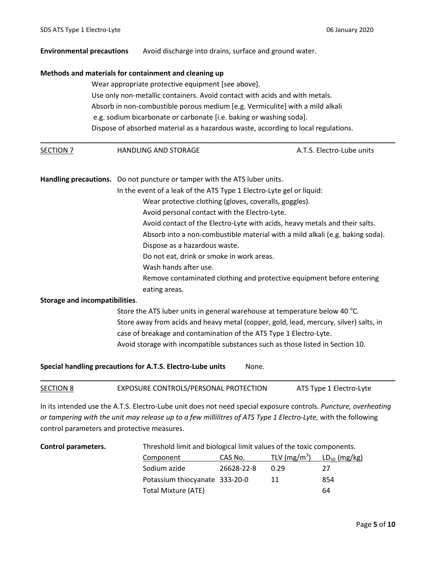## **Environmental precautions** Avoid discharge into drains, surface and ground water. **Methods and materials for containment and cleaning up** Wear appropriate protective equipment [see above]. Use only non-metallic containers. Avoid contact with acids and with metals. Absorb in non-combustible porous medium [e.g. Vermiculite] with a mild alkali e.g. sodium bicarbonate or carbonate [i.e. baking or washing soda]. Dispose of absorbed material as a hazardous waste, according to local regulations. **\_\_\_\_\_\_\_\_\_\_\_\_\_\_\_\_\_\_\_\_\_\_\_\_\_\_\_\_\_\_\_\_\_\_\_\_\_\_\_\_\_\_\_\_\_\_\_\_\_\_\_\_\_\_\_\_\_\_\_\_\_\_\_\_\_\_\_\_\_\_\_\_\_\_\_\_\_\_\_\_\_\_\_\_\_\_\_\_\_\_\_** SECTION 7 **HANDLING AND STORAGE A.T.S. Electro-Lube units Handling precautions.** Do not puncture or tamper with the ATS luber units. In the event of a leak of the ATS Type 1 Electro-Lyte gel or liquid: Wear protective clothing (gloves, coveralls, goggles). Avoid personal contact with the Electro-Lyte. Avoid contact of the Electro-Lyte with acids, heavy metals and their salts. Absorb into a non-combustible material with a mild alkali (e.g. baking soda). Dispose as a hazardous waste. Do not eat, drink or smoke in work areas. Wash hands after use. Remove contaminated clothing and protective equipment before entering eating areas. **Storage and incompatibilities**. Store the ATS luber units in general warehouse at temperature below 40  $^{\circ}$ C. Store away from acids and heavy metal (copper, gold, lead, mercury, silver) salts, in case of breakage and contamination of the ATS Type 1 Electro-Lyte.

Avoid storage with incompatible substances such as those listed in Section 10.

### **Special handling precautions for A.T.S. Electro-Lube units** Mone.

### SECTION 8 EXPOSURE CONTROLS/PERSONAL PROTECTION ATS Type 1 Electro-Lyte

**\_\_\_\_\_\_\_\_\_\_\_\_\_\_\_\_\_\_\_\_\_\_\_\_\_\_\_\_\_\_\_\_\_\_\_\_\_\_\_\_\_\_\_\_\_\_\_\_\_\_\_\_\_\_\_\_\_\_\_\_\_\_\_\_\_\_\_\_\_\_\_\_\_\_\_\_\_\_\_\_\_\_\_\_\_\_\_\_\_\_\_**

In its intended use the A.T.S. Electro-Lube unit does not need special exposure controls. *Puncture, overheating or tampering with the unit may release up to a few millilitres of ATS Type 1 Electro-Lyte,* with the following control parameters and protective measures.

|  | <b>Control parameters.</b> |
|--|----------------------------|
|--|----------------------------|

Threshold limit and biological limit values of the toxic components.

| Component                      | CAS No.    | TLV ( $mg/m^3$ ) | $LD_{50}$ (mg/kg) |
|--------------------------------|------------|------------------|-------------------|
| Sodium azide                   | 26628-22-8 | 0.29             | 27                |
| Potassium thiocyanate 333-20-0 |            | 11               | 854               |
| Total Mixture (ATE)            |            |                  | 64                |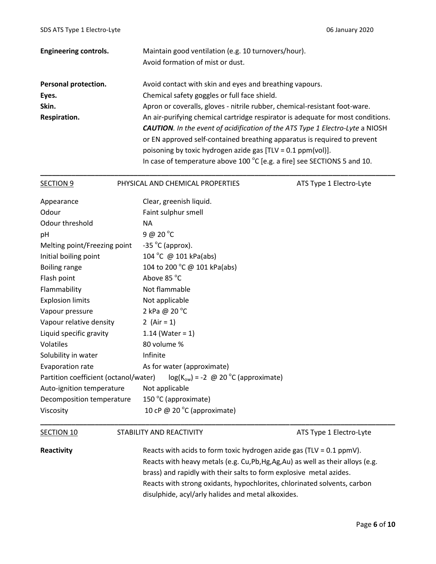| <b>Engineering controls.</b> | Maintain good ventilation (e.g. 10 turnovers/hour).                                  |  |  |
|------------------------------|--------------------------------------------------------------------------------------|--|--|
|                              | Avoid formation of mist or dust.                                                     |  |  |
| Personal protection.         | Avoid contact with skin and eyes and breathing vapours.                              |  |  |
| Eyes.                        | Chemical safety goggles or full face shield.                                         |  |  |
| Skin.                        | Apron or coveralls, gloves - nitrile rubber, chemical-resistant foot-ware.           |  |  |
| Respiration.                 | An air-purifying chemical cartridge respirator is adequate for most conditions.      |  |  |
|                              | <b>CAUTION.</b> In the event of acidification of the ATS Type 1 Electro-Lyte a NIOSH |  |  |
|                              | or EN approved self-contained breathing apparatus is required to prevent             |  |  |
|                              | poisoning by toxic hydrogen azide gas $[TLV = 0.1 ppm(vol)].$                        |  |  |
|                              | In case of temperature above 100 $^{\circ}$ C [e.g. a fire] see SECTIONS 5 and 10.   |  |  |

| <b>SECTION 9</b>                      | PHYSICAL AND CHEMICAL PROPERTIES         | ATS Type 1 Electro-Lyte |
|---------------------------------------|------------------------------------------|-------------------------|
| Appearance                            | Clear, greenish liquid.                  |                         |
| Odour                                 | Faint sulphur smell                      |                         |
| Odour threshold                       | <b>NA</b>                                |                         |
| pH                                    | 9@20°C                                   |                         |
| Melting point/Freezing point          | $-35$ °C (approx).                       |                         |
| Initial boiling point                 | 104 °C @ 101 kPa(abs)                    |                         |
| Boiling range                         | 104 to 200 °C @ 101 kPa(abs)             |                         |
| Flash point                           | Above 85 °C                              |                         |
| Flammability                          | Not flammable                            |                         |
| <b>Explosion limits</b>               | Not applicable                           |                         |
| Vapour pressure                       | 2 kPa @ 20 °C                            |                         |
| Vapour relative density               | 2 (Air = 1)                              |                         |
| Liquid specific gravity               | 1.14 (Water = $1$ )                      |                         |
| Volatiles                             | 80 volume %                              |                         |
| Solubility in water                   | Infinite                                 |                         |
| Evaporation rate                      | As for water (approximate)               |                         |
| Partition coefficient (octanol/water) | $log(K_{ow}) = -2$ @ 20 °C (approximate) |                         |
| Auto-ignition temperature             | Not applicable                           |                         |
| Decomposition temperature             | 150 °C (approximate)                     |                         |
| Viscosity                             | 10 cP @ 20 $^{\circ}$ C (approximate)    |                         |

SECTION 10 STABILITY AND REACTIVITY SECTION 10

**Reactivity** Reacts with acids to form toxic hydrogen azide gas (TLV = 0.1 ppmV). Reacts with heavy metals (e.g. Cu,Pb,Hg,Ag,Au) as well as their alloys (e.g. brass) and rapidly with their salts to form explosive metal azides. Reacts with strong oxidants, hypochlorites, chlorinated solvents, carbon disulphide, acyl/arly halides and metal alkoxides.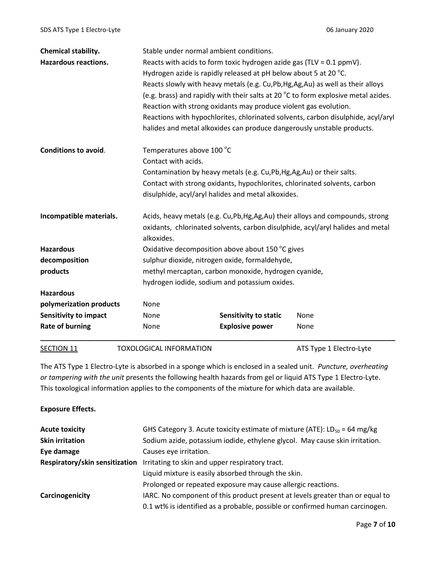| Chemical stability.          |                                | Stable under normal ambient conditions.                                            |                                                                                   |  |  |
|------------------------------|--------------------------------|------------------------------------------------------------------------------------|-----------------------------------------------------------------------------------|--|--|
| <b>Hazardous reactions.</b>  |                                | Reacts with acids to form toxic hydrogen azide gas (TLV = $0.1$ ppmV).             |                                                                                   |  |  |
|                              |                                | Hydrogen azide is rapidly released at pH below about 5 at 20 °C.                   |                                                                                   |  |  |
|                              |                                |                                                                                    | Reacts slowly with heavy metals (e.g. Cu, Pb, Hg, Ag, Au) as well as their alloys |  |  |
|                              |                                | (e.g. brass) and rapidly with their salts at 20 °C to form explosive metal azides. |                                                                                   |  |  |
|                              |                                | Reaction with strong oxidants may produce violent gas evolution.                   |                                                                                   |  |  |
|                              |                                | Reactions with hypochlorites, chlorinated solvents, carbon disulphide, acyl/aryl   |                                                                                   |  |  |
|                              |                                | halides and metal alkoxides can produce dangerously unstable products.             |                                                                                   |  |  |
| <b>Conditions to avoid.</b>  | Temperatures above 100 °C      |                                                                                    |                                                                                   |  |  |
|                              | Contact with acids.            |                                                                                    |                                                                                   |  |  |
|                              |                                | Contamination by heavy metals (e.g. Cu,Pb,Hg,Ag,Au) or their salts.                |                                                                                   |  |  |
|                              |                                | Contact with strong oxidants, hypochlorites, chlorinated solvents, carbon          |                                                                                   |  |  |
|                              |                                | disulphide, acyl/aryl halides and metal alkoxides.                                 |                                                                                   |  |  |
| Incompatible materials.      |                                | Acids, heavy metals (e.g. Cu, Pb, Hg, Ag, Au) their alloys and compounds, strong   |                                                                                   |  |  |
|                              |                                |                                                                                    | oxidants, chlorinated solvents, carbon disulphide, acyl/aryl halides and metal    |  |  |
|                              | alkoxides.                     |                                                                                    |                                                                                   |  |  |
| <b>Hazardous</b>             |                                | Oxidative decomposition above about 150 °C gives                                   |                                                                                   |  |  |
| decomposition                |                                | sulphur dioxide, nitrogen oxide, formaldehyde,                                     |                                                                                   |  |  |
| products                     |                                | methyl mercaptan, carbon monoxide, hydrogen cyanide,                               |                                                                                   |  |  |
|                              |                                | hydrogen iodide, sodium and potassium oxides.                                      |                                                                                   |  |  |
| <b>Hazardous</b>             |                                |                                                                                    |                                                                                   |  |  |
| polymerization products      | None                           |                                                                                    |                                                                                   |  |  |
| <b>Sensitivity to impact</b> | None                           | <b>Sensitivity to static</b>                                                       | None                                                                              |  |  |
| <b>Rate of burning</b>       | None                           | <b>Explosive power</b>                                                             | None                                                                              |  |  |
| SECTION 11                   | <b>TOXOLOGICAL INFORMATION</b> |                                                                                    | ATS Type 1 Electro-Lyte                                                           |  |  |

The ATS Type 1 Electro-Lyte is absorbed in a sponge which is enclosed in a sealed unit. *Puncture, overheating or tampering with the unit* presents the following health hazards from gel or liquid ATS Type 1 Electro-Lyte. This toxological information applies to the components of the mixture for which data are available.

### **Exposure Effects.**

| <b>Acute toxicity</b>          | GHS Category 3. Acute toxicity estimate of mixture (ATE): $LD_{50} = 64$ mg/kg |
|--------------------------------|--------------------------------------------------------------------------------|
| <b>Skin irritation</b>         | Sodium azide, potassium iodide, ethylene glycol. May cause skin irritation.    |
| Eye damage                     | Causes eye irritation.                                                         |
| Respiratory/skin sensitization | Irritating to skin and upper respiratory tract.                                |
|                                | Liquid mixture is easily absorbed through the skin.                            |
|                                | Prolonged or repeated exposure may cause allergic reactions.                   |
| Carcinogenicity                | IARC. No component of this product present at levels greater than or equal to  |
|                                | 0.1 wt% is identified as a probable, possible or confirmed human carcinogen.   |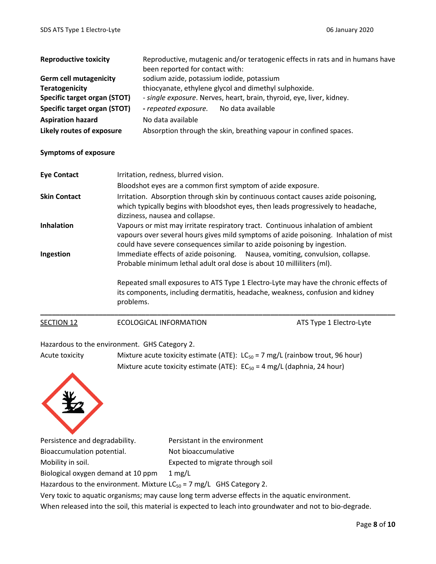| <b>Reproductive toxicity</b>  |                                                                                                                                                        | Reproductive, mutagenic and/or teratogenic effects in rats and in humans have<br>been reported for contact with:                                                                                                                                     |                                                                                     |  |  |  |
|-------------------------------|--------------------------------------------------------------------------------------------------------------------------------------------------------|------------------------------------------------------------------------------------------------------------------------------------------------------------------------------------------------------------------------------------------------------|-------------------------------------------------------------------------------------|--|--|--|
| <b>Germ cell mutagenicity</b> |                                                                                                                                                        | sodium azide, potassium iodide, potassium                                                                                                                                                                                                            |                                                                                     |  |  |  |
| <b>Teratogenicity</b>         |                                                                                                                                                        | thiocyanate, ethylene glycol and dimethyl sulphoxide.                                                                                                                                                                                                |                                                                                     |  |  |  |
| Specific target organ (STOT)  |                                                                                                                                                        | - single exposure. Nerves, heart, brain, thyroid, eye, liver, kidney.<br>- repeated exposure.<br>No data available                                                                                                                                   |                                                                                     |  |  |  |
| Specific target organ (STOT)  |                                                                                                                                                        |                                                                                                                                                                                                                                                      |                                                                                     |  |  |  |
| <b>Aspiration hazard</b>      | No data available                                                                                                                                      |                                                                                                                                                                                                                                                      |                                                                                     |  |  |  |
| Likely routes of exposure     |                                                                                                                                                        | Absorption through the skin, breathing vapour in confined spaces.                                                                                                                                                                                    |                                                                                     |  |  |  |
| <b>Symptoms of exposure</b>   |                                                                                                                                                        |                                                                                                                                                                                                                                                      |                                                                                     |  |  |  |
| <b>Eye Contact</b>            | Irritation, redness, blurred vision.                                                                                                                   |                                                                                                                                                                                                                                                      |                                                                                     |  |  |  |
|                               | Bloodshot eyes are a common first symptom of azide exposure.                                                                                           |                                                                                                                                                                                                                                                      |                                                                                     |  |  |  |
| <b>Skin Contact</b>           | dizziness, nausea and collapse.                                                                                                                        | Irritation. Absorption through skin by continuous contact causes azide poisoning,<br>which typically begins with bloodshot eyes, then leads progressively to headache,                                                                               |                                                                                     |  |  |  |
| <b>Inhalation</b>             |                                                                                                                                                        | Vapours or mist may irritate respiratory tract. Continuous inhalation of ambient<br>vapours over several hours gives mild symptoms of azide poisoning. Inhalation of mist<br>could have severe consequences similar to azide poisoning by ingestion. |                                                                                     |  |  |  |
| Ingestion                     | Immediate effects of azide poisoning. Nausea, vomiting, convulsion, collapse.<br>Probable minimum lethal adult oral dose is about 10 milliliters (ml). |                                                                                                                                                                                                                                                      |                                                                                     |  |  |  |
|                               | its components, including dermatitis, headache, weakness, confusion and kidney<br>problems.                                                            |                                                                                                                                                                                                                                                      | Repeated small exposures to ATS Type 1 Electro-Lyte may have the chronic effects of |  |  |  |
| <b>SECTION 12</b>             | <b>ECOLOGICAL INFORMATION</b>                                                                                                                          |                                                                                                                                                                                                                                                      | ATS Type 1 Electro-Lyte                                                             |  |  |  |

### Hazardous to the environment. GHS Category 2.

Acute toxicity Mixture acute toxicity estimate (ATE):  $LC_{50} = 7$  mg/L (rainbow trout, 96 hour) Mixture acute toxicity estimate (ATE):  $EC_{50} = 4$  mg/L (daphnia, 24 hour)



Persistence and degradability. Persistant in the environment Bioaccumulation potential. Not bioaccumulative Mobility in soil. Expected to migrate through soil Biological oxygen demand at 10 ppm 1 mg/L

Hazardous to the environment. Mixture  $LC_{50} = 7$  mg/L GHS Category 2.

Very toxic to aquatic organisms; may cause long term adverse effects in the aquatic environment.

When released into the soil, this material is expected to leach into groundwater and not to bio-degrade.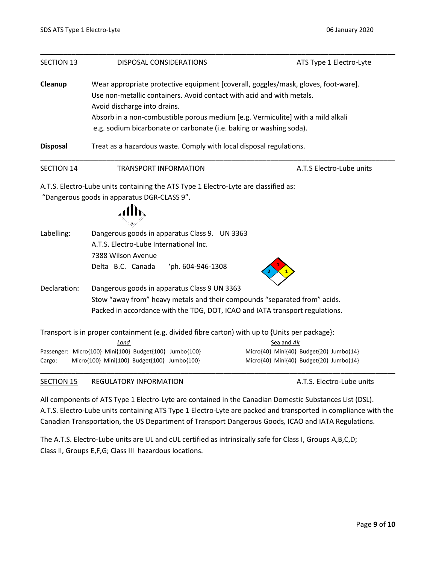| <b>SECTION 13</b> | DISPOSAL CONSIDERATIONS                                                                                                                                     | ATS Type 1 Electro-Lyte                 |  |  |  |
|-------------------|-------------------------------------------------------------------------------------------------------------------------------------------------------------|-----------------------------------------|--|--|--|
| <b>Cleanup</b>    | Wear appropriate protective equipment [coverall, goggles/mask, gloves, foot-ware].<br>Use non-metallic containers. Avoid contact with acid and with metals. |                                         |  |  |  |
|                   | Avoid discharge into drains.                                                                                                                                |                                         |  |  |  |
|                   | Absorb in a non-combustible porous medium [e.g. Vermiculite] with a mild alkali                                                                             |                                         |  |  |  |
|                   | e.g. sodium bicarbonate or carbonate (i.e. baking or washing soda).                                                                                         |                                         |  |  |  |
| <b>Disposal</b>   | Treat as a hazardous waste. Comply with local disposal regulations.                                                                                         |                                         |  |  |  |
| <b>SECTION 14</b> | <b>TRANSPORT INFORMATION</b>                                                                                                                                | A.T.S Electro-Lube units                |  |  |  |
|                   | A.T.S. Electro-Lube units containing the ATS Type 1 Electro-Lyte are classified as:                                                                         |                                         |  |  |  |
|                   | "Dangerous goods in apparatus DGR-CLASS 9".                                                                                                                 |                                         |  |  |  |
|                   |                                                                                                                                                             |                                         |  |  |  |
| Labelling:        | Dangerous goods in apparatus Class 9. UN 3363                                                                                                               |                                         |  |  |  |
|                   | A.T.S. Electro-Lube International Inc.                                                                                                                      |                                         |  |  |  |
|                   | 7388 Wilson Avenue                                                                                                                                          |                                         |  |  |  |
|                   | 'ph. 604-946-1308<br>Delta B.C. Canada                                                                                                                      |                                         |  |  |  |
| Declaration:      | Dangerous goods in apparatus Class 9 UN 3363                                                                                                                |                                         |  |  |  |
|                   | Stow "away from" heavy metals and their compounds "separated from" acids.                                                                                   |                                         |  |  |  |
|                   | Packed in accordance with the TDG, DOT, ICAO and IATA transport regulations.                                                                                |                                         |  |  |  |
|                   |                                                                                                                                                             |                                         |  |  |  |
|                   | Transport is in proper containment (e.g. divided fibre carton) with up to {Units per package}:                                                              | Sea and Air                             |  |  |  |
|                   | Land<br>Passenger: Micro{100} Mini{100} Budget{100} Jumbo{100}                                                                                              | Micro{40} Mini{40} Budget{20} Jumbo{14} |  |  |  |
| Cargo:            | Micro{100} Mini{100} Budget{100} Jumbo{100}                                                                                                                 | Micro{40} Mini{40} Budget{20} Jumbo{14} |  |  |  |
|                   |                                                                                                                                                             |                                         |  |  |  |

### SECTION 15 REGULATORY INFORMATION **A.T.S. Electro-Lube units**

All components of ATS Type 1 Electro-Lyte are contained in the Canadian Domestic Substances List (DSL). A.T.S. Electro-Lube units containing ATS Type 1 Electro-Lyte are packed and transported in compliance with the Canadian Transportation, the US Department of Transport Dangerous Goods*,* ICAO and IATA Regulations.

The A.T.S. Electro-Lube units are UL and cUL certified as intrinsically safe for Class I, Groups A,B,C,D; Class II, Groups E,F,G; Class III hazardous locations.